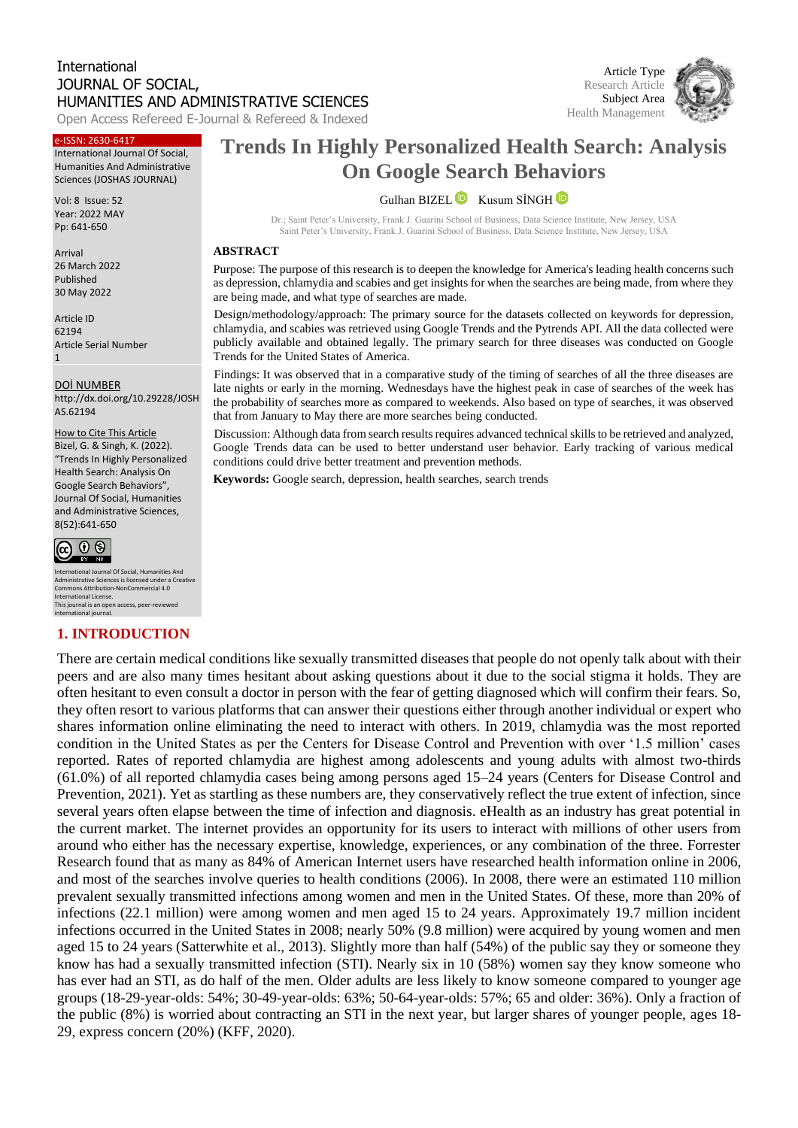# International JOURNAL OF SOCIAL, HUMANITIES AND ADMINISTRATIVE SCIENCES

Open Access Refereed E-Journal & Refereed & Indexed

#### e-ISSN: 2630-6417

International Journal Of Social, Humanities And Administrative Sciences (JOSHAS JOURNAL)

Vol: 8 Issue: 52 Year: 2022 MAY Pp: 641-650

Arrival 26 March 2022 Published 30 May 2022

Article ID 62194 Article Serial Number 1

DOİ NUMBER http://dx.doi.org/10.29228/JOSH AS.62194

How to Cite This Article

Bizel, G. & Singh, K. (2022). "Trends In Highly Personalized Health Search: Analysis On Google Search Behaviors", Journal Of Social, Humanities and Administrative Sciences, 8(52):641-650



nternational Journal Of Social, Humanities And Administrative Sciences is licensed under a Creative Commons Attribution-NonCommercial 4.0 International License. This journal is an open access, peer-reviewed international journal.

#### **1. INTRODUCTION**

# **Trends In Highly Personalized Health Search: Analysis On Google Search Behaviors**

GulhanBIZEL **D** Kusum SİNGH **D** 

Dr.; Saint Peter's University, Frank J. Guarini School of Business, Data Science Institute, New Jersey, USA Saint Peter's University, Frank J. Guarini School of Business, Data Science Institute, New Jersey, USA

#### **ABSTRACT**

Purpose: The purpose of this research is to deepen the knowledge for America's leading health concerns such as depression, chlamydia and scabies and get insights for when the searches are being made, from where they are being made, and what type of searches are made.

Design/methodology/approach: The primary source for the datasets collected on keywords for depression, chlamydia, and scabies was retrieved using Google Trends and the Pytrends API. All the data collected were publicly available and obtained legally. The primary search for three diseases was conducted on Google Trends for the United States of America.

Findings: It was observed that in a comparative study of the timing of searches of all the three diseases are late nights or early in the morning. Wednesdays have the highest peak in case of searches of the week has the probability of searches more as compared to weekends. Also based on type of searches, it was observed that from January to May there are more searches being conducted.

Discussion: Although data from search results requires advanced technical skills to be retrieved and analyzed, Google Trends data can be used to better understand user behavior. Early tracking of various medical conditions could drive better treatment and prevention methods.

**Keywords:** Google search, depression, health searches, search trends

There are certain medical conditions like sexually transmitted diseases that people do not openly talk about with their peers and are also many times hesitant about asking questions about it due to the social stigma it holds. They are often hesitant to even consult a doctor in person with the fear of getting diagnosed which will confirm their fears. So, they often resort to various platforms that can answer their questions either through another individual or expert who shares information online eliminating the need to interact with others. In 2019, chlamydia was the most reported condition in the United States as per the Centers for Disease Control and Prevention with over '1.5 million' cases reported. Rates of reported chlamydia are highest among adolescents and young adults with almost two-thirds (61.0%) of all reported chlamydia cases being among persons aged 15–24 years (Centers for Disease Control and Prevention, 2021). Yet as startling as these numbers are, they conservatively reflect the true extent of infection, since several years often elapse between the time of infection and diagnosis. eHealth as an industry has great potential in the current market. The internet provides an opportunity for its users to interact with millions of other users from around who either has the necessary expertise, knowledge, experiences, or any combination of the three. Forrester Research found that as many as 84% of American Internet users have researched health information online in 2006, and most of the searches involve queries to health conditions (2006). In 2008, there were an estimated 110 million prevalent sexually transmitted infections among women and men in the United States. Of these, more than 20% of infections (22.1 million) were among women and men aged 15 to 24 years. Approximately 19.7 million incident infections occurred in the United States in 2008; nearly 50% (9.8 million) were acquired by young women and men aged 15 to 24 years (Satterwhite et al., 2013). Slightly more than half (54%) of the public say they or someone they know has had a sexually transmitted infection (STI). Nearly six in 10 (58%) women say they know someone who has ever had an STI, as do half of the men. Older adults are less likely to know someone compared to younger age groups (18-29-year-olds: 54%; 30-49-year-olds: 63%; 50-64-year-olds: 57%; 65 and older: 36%). Only a fraction of the public (8%) is worried about contracting an STI in the next year, but larger shares of younger people, ages 18- 29, express concern (20%) (KFF, 2020).

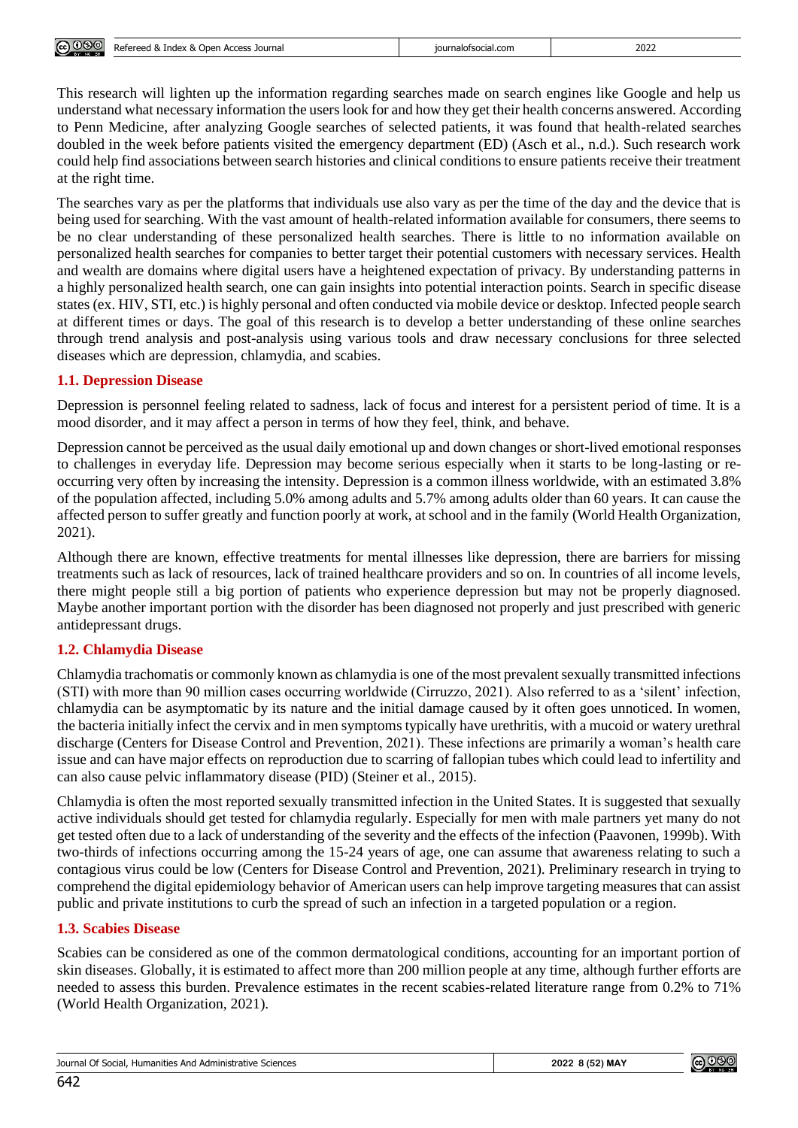| ெ<br>(060)<br>$\sim$ $\sim$ $\sim$ $\sim$ $\sim$ $\sim$ | Dafaraad &<br>Access<br>Index<br>Journal<br>Oper<br>$\alpha$<br>. ושת<br>ICCU 03 | iournalofsocial.com | 2022 |
|---------------------------------------------------------|----------------------------------------------------------------------------------|---------------------|------|

This research will lighten up the information regarding searches made on search engines like Google and help us understand what necessary information the users look for and how they get their health concerns answered. According to Penn Medicine, after analyzing Google searches of selected patients, it was found that health-related searches doubled in the week before patients visited the emergency department (ED) (Asch et al., n.d.). Such research work could help find associations between search histories and clinical conditions to ensure patients receive their treatment at the right time.

The searches vary as per the platforms that individuals use also vary as per the time of the day and the device that is being used for searching. With the vast amount of health-related information available for consumers, there seems to be no clear understanding of these personalized health searches. There is little to no information available on personalized health searches for companies to better target their potential customers with necessary services. Health and wealth are domains where digital users have a heightened expectation of privacy. By understanding patterns in a highly personalized health search, one can gain insights into potential interaction points. Search in specific disease states (ex. HIV, STI, etc.) is highly personal and often conducted via mobile device or desktop. Infected people search at different times or days. The goal of this research is to develop a better understanding of these online searches through trend analysis and post-analysis using various tools and draw necessary conclusions for three selected diseases which are depression, chlamydia, and scabies.

# **1.1. Depression Disease**

Depression is personnel feeling related to sadness, lack of focus and interest for a persistent period of time. It is a mood disorder, and it may affect a person in terms of how they feel, think, and behave.

Depression cannot be perceived as the usual daily emotional up and down changes or short-lived emotional responses to challenges in everyday life. Depression may become serious especially when it starts to be long-lasting or reoccurring very often by increasing the intensity. Depression is a common illness worldwide, with an estimated 3.8% of the population affected, including 5.0% among adults and 5.7% among adults older than 60 years. It can cause the affected person to suffer greatly and function poorly at work, at school and in the family (World Health Organization, 2021).

Although there are known, effective treatments for mental illnesses like depression, there are barriers for missing treatments such as lack of resources, lack of trained healthcare providers and so on. In countries of all income levels, there might people still a big portion of patients who experience depression but may not be properly diagnosed. Maybe another important portion with the disorder has been diagnosed not properly and just prescribed with generic antidepressant drugs.

# **1.2. Chlamydia Disease**

Chlamydia trachomatis or commonly known as chlamydia is one of the most prevalent sexually transmitted infections (STI) with more than 90 million cases occurring worldwide (Cirruzzo, 2021). Also referred to as a 'silent' infection, chlamydia can be asymptomatic by its nature and the initial damage caused by it often goes unnoticed. In women, the bacteria initially infect the cervix and in men symptoms typically have urethritis, with a mucoid or watery urethral discharge (Centers for Disease Control and Prevention, 2021). These infections are primarily a woman's health care issue and can have major effects on reproduction due to scarring of fallopian tubes which could lead to infertility and can also cause pelvic inflammatory disease (PID) (Steiner et al., 2015).

Chlamydia is often the most reported sexually transmitted infection in the United States. It is suggested that sexually active individuals should get tested for chlamydia regularly. Especially for men with male partners yet many do not get tested often due to a lack of understanding of the severity and the effects of the infection (Paavonen, 1999b). With two-thirds of infections occurring among the 15-24 years of age, one can assume that awareness relating to such a contagious virus could be low (Centers for Disease Control and Prevention, 2021). Preliminary research in trying to comprehend the digital epidemiology behavior of American users can help improve targeting measures that can assist public and private institutions to curb the spread of such an infection in a targeted population or a region.

# **1.3. Scabies Disease**

Scabies can be considered as one of the common dermatological conditions, accounting for an important portion of skin diseases. Globally, it is estimated to affect more than 200 million people at any time, although further efforts are needed to assess this burden. Prevalence estimates in the recent scabies-related literature range from 0.2% to 71% (World Health Organization, 2021).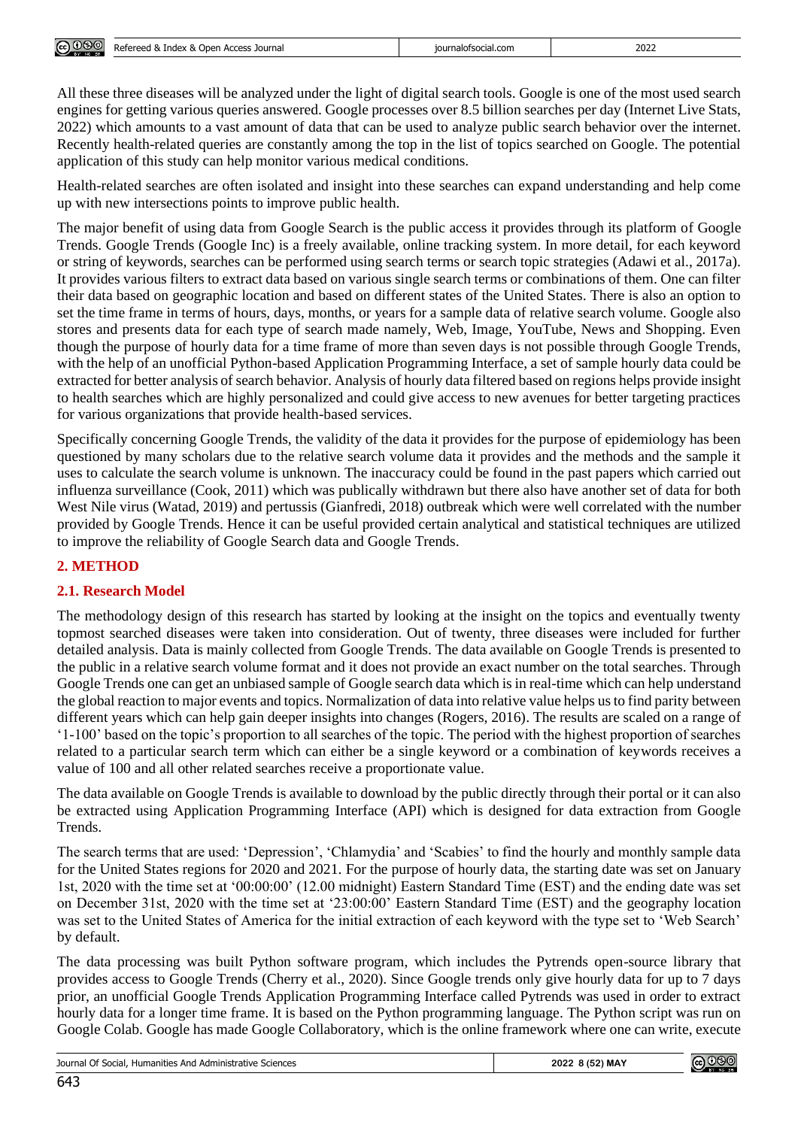

All these three diseases will be analyzed under the light of digital search tools. Google is one of the most used search engines for getting various queries answered. Google processes over 8.5 billion searches per day (Internet Live Stats, 2022) which amounts to a vast amount of data that can be used to analyze public search behavior over the internet. Recently health-related queries are constantly among the top in the list of topics searched on Google. The potential application of this study can help monitor various medical conditions.

Health-related searches are often isolated and insight into these searches can expand understanding and help come up with new intersections points to improve public health.

The major benefit of using data from Google Search is the public access it provides through its platform of Google Trends. Google Trends (Google Inc) is a freely available, online tracking system. In more detail, for each keyword or string of keywords, searches can be performed using search terms or search topic strategies (Adawi et al., 2017a). It provides various filters to extract data based on various single search terms or combinations of them. One can filter their data based on geographic location and based on different states of the United States. There is also an option to set the time frame in terms of hours, days, months, or years for a sample data of relative search volume. Google also stores and presents data for each type of search made namely, Web, Image, YouTube, News and Shopping. Even though the purpose of hourly data for a time frame of more than seven days is not possible through Google Trends, with the help of an unofficial Python-based Application Programming Interface, a set of sample hourly data could be extracted for better analysis of search behavior. Analysis of hourly data filtered based on regions helps provide insight to health searches which are highly personalized and could give access to new avenues for better targeting practices for various organizations that provide health-based services.

Specifically concerning Google Trends, the validity of the data it provides for the purpose of epidemiology has been questioned by many scholars due to the relative search volume data it provides and the methods and the sample it uses to calculate the search volume is unknown. The inaccuracy could be found in the past papers which carried out influenza surveillance (Cook, 2011) which was publically withdrawn but there also have another set of data for both West Nile virus (Watad, 2019) and pertussis (Gianfredi, 2018) outbreak which were well correlated with the number provided by Google Trends. Hence it can be useful provided certain analytical and statistical techniques are utilized to improve the reliability of Google Search data and Google Trends.

#### **2. METHOD**

# **2.1. Research Model**

The methodology design of this research has started by looking at the insight on the topics and eventually twenty topmost searched diseases were taken into consideration. Out of twenty, three diseases were included for further detailed analysis. Data is mainly collected from Google Trends. The data available on Google Trends is presented to the public in a relative search volume format and it does not provide an exact number on the total searches. Through Google Trends one can get an unbiased sample of Google search data which is in real-time which can help understand the global reaction to major events and topics. Normalization of data into relative value helps us to find parity between different years which can help gain deeper insights into changes (Rogers, 2016). The results are scaled on a range of '1-100' based on the topic's proportion to all searches of the topic. The period with the highest proportion of searches related to a particular search term which can either be a single keyword or a combination of keywords receives a value of 100 and all other related searches receive a proportionate value.

The data available on Google Trends is available to download by the public directly through their portal or it can also be extracted using Application Programming Interface (API) which is designed for data extraction from Google Trends.

The search terms that are used: 'Depression', 'Chlamydia' and 'Scabies' to find the hourly and monthly sample data for the United States regions for 2020 and 2021. For the purpose of hourly data, the starting date was set on January 1st, 2020 with the time set at '00:00:00' (12.00 midnight) Eastern Standard Time (EST) and the ending date was set on December 31st, 2020 with the time set at '23:00:00' Eastern Standard Time (EST) and the geography location was set to the United States of America for the initial extraction of each keyword with the type set to 'Web Search' by default.

The data processing was built Python software program, which includes the Pytrends open-source library that provides access to Google Trends (Cherry et al., 2020). Since Google trends only give hourly data for up to 7 days prior, an unofficial Google Trends Application Programming Interface called Pytrends was used in order to extract hourly data for a longer time frame. It is based on the Python programming language. The Python script was run on Google Colab. Google has made Google Collaboratory, which is the online framework where one can write, execute

Journal Of Social, Humanities And Administrative Sciences **2022 8 (52) MAY**

@000

| Journal Of Social, Humanities And Administrative Sciences |  |
|-----------------------------------------------------------|--|
|-----------------------------------------------------------|--|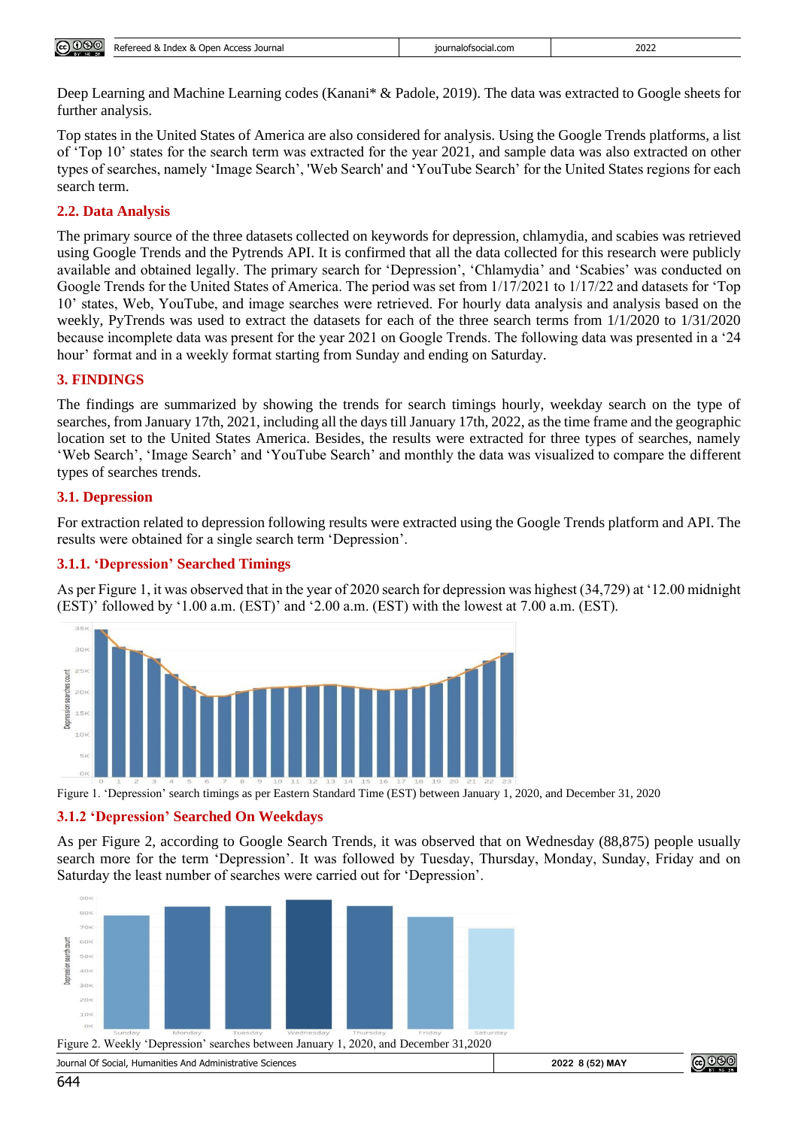| <b>@</b> 000<br>$\sim$<br>10,000 | Access Journal<br>Poforood<br>Index<br>.<br>. Open<br>reea &<br>$\alpha$<br><b>NEIEI</b> | iournalofsocial.com | 2022 |
|----------------------------------|------------------------------------------------------------------------------------------|---------------------|------|
|----------------------------------|------------------------------------------------------------------------------------------|---------------------|------|

Deep Learning and Machine Learning codes (Kanani\* & Padole, 2019). The data was extracted to Google sheets for further analysis.

Top states in the United States of America are also considered for analysis. Using the Google Trends platforms, a list of 'Top 10' states for the search term was extracted for the year 2021, and sample data was also extracted on other types of searches, namely 'Image Search', 'Web Search' and 'YouTube Search' for the United States regions for each search term.

#### **2.2. Data Analysis**

The primary source of the three datasets collected on keywords for depression, chlamydia, and scabies was retrieved using Google Trends and the Pytrends API. It is confirmed that all the data collected for this research were publicly available and obtained legally. The primary search for 'Depression', 'Chlamydia' and 'Scabies' was conducted on Google Trends for the United States of America. The period was set from 1/17/2021 to 1/17/22 and datasets for 'Top 10' states, Web, YouTube, and image searches were retrieved. For hourly data analysis and analysis based on the weekly, PyTrends was used to extract the datasets for each of the three search terms from 1/1/2020 to 1/31/2020 because incomplete data was present for the year 2021 on Google Trends. The following data was presented in a '24 hour' format and in a weekly format starting from Sunday and ending on Saturday.

#### **3. FINDINGS**

The findings are summarized by showing the trends for search timings hourly, weekday search on the type of searches, from January 17th, 2021, including all the days till January 17th, 2022, as the time frame and the geographic location set to the United States America. Besides, the results were extracted for three types of searches, namely 'Web Search', 'Image Search' and 'YouTube Search' and monthly the data was visualized to compare the different types of searches trends.

#### **3.1. Depression**

For extraction related to depression following results were extracted using the Google Trends platform and API. The results were obtained for a single search term 'Depression'.

# **3.1.1. 'Depression' Searched Timings**

As per Figure 1, it was observed that in the year of 2020 search for depression was highest (34,729) at '12.00 midnight (EST)' followed by '1.00 a.m. (EST)' and '2.00 a.m. (EST) with the lowest at 7.00 a.m. (EST).



Figure 1. 'Depression' search timings as per Eastern Standard Time (EST) between January 1, 2020, and December 31, 2020

#### **3.1.2 'Depression' Searched On Weekdays**

As per Figure 2, according to Google Search Trends, it was observed that on Wednesday (88,875) people usually search more for the term 'Depression'. It was followed by Tuesday, Thursday, Monday, Sunday, Friday and on Saturday the least number of searches were carried out for 'Depression'.



| Sciences<br>And<br>a Administrative.<br>Social.<br>Journa<br>Humanities A<br>$\cdot$ , $\cdot$ | , MAY<br>2020<br>. אכ∪ א | ייטור. |
|------------------------------------------------------------------------------------------------|--------------------------|--------|
|                                                                                                |                          |        |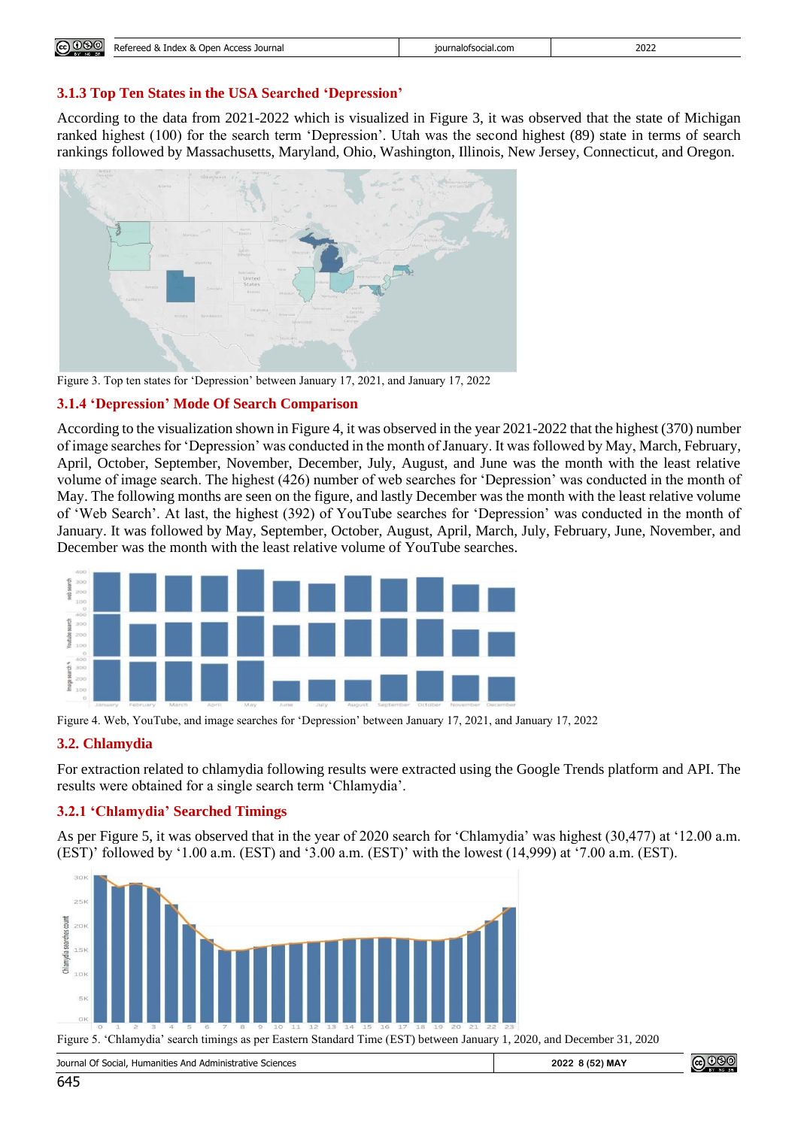| <b>@</b> 000<br>$\sim$ $\sim$ $\sim$ $\sim$ $\sim$ $\sim$ | . Journal<br>Refereed<br>Index<br>Arress<br>Open<br>. N<br>$\sim$<br><b>ALLL33</b> | .iournalotsocial.com<br>. | 2022 |
|-----------------------------------------------------------|------------------------------------------------------------------------------------|---------------------------|------|

#### **3.1.3 Top Ten States in the USA Searched 'Depression'**

According to the data from 2021-2022 which is visualized in Figure 3, it was observed that the state of Michigan ranked highest (100) for the search term 'Depression'. Utah was the second highest (89) state in terms of search rankings followed by Massachusetts, Maryland, Ohio, Washington, Illinois, New Jersey, Connecticut, and Oregon.



Figure 3. Top ten states for 'Depression' between January 17, 2021, and January 17, 2022

#### **3.1.4 'Depression' Mode Of Search Comparison**

According to the visualization shown in Figure 4, it was observed in the year 2021-2022 that the highest (370) number of image searches for 'Depression' was conducted in the month of January. It was followed by May, March, February, April, October, September, November, December, July, August, and June was the month with the least relative volume of image search. The highest (426) number of web searches for 'Depression' was conducted in the month of May. The following months are seen on the figure, and lastly December was the month with the least relative volume of 'Web Search'. At last, the highest (392) of YouTube searches for 'Depression' was conducted in the month of January. It was followed by May, September, October, August, April, March, July, February, June, November, and December was the month with the least relative volume of YouTube searches.



Figure 4. Web, YouTube, and image searches for 'Depression' between January 17, 2021, and January 17, 2022

# **3.2. Chlamydia**

For extraction related to chlamydia following results were extracted using the Google Trends platform and API. The results were obtained for a single search term 'Chlamydia'.

# **3.2.1 'Chlamydia' Searched Timings**

As per Figure 5, it was observed that in the year of 2020 search for 'Chlamydia' was highest (30,477) at '12.00 a.m. (EST)' followed by '1.00 a.m. (EST) and '3.00 a.m. (EST)' with the lowest (14,999) at '7.00 a.m. (EST).



Figure 5. 'Chlamydia' search timings as per Eastern Standard Time (EST) between January 1, 2020, and December 31, 2020

| Sciences<br>Journa'<br>Social.<br>. Administrative<br>Humanities<br>And<br>$\mathbf{u}$<br>. | 2022<br>, MAY<br>- 8 (5. | າທາ |
|----------------------------------------------------------------------------------------------|--------------------------|-----|
|----------------------------------------------------------------------------------------------|--------------------------|-----|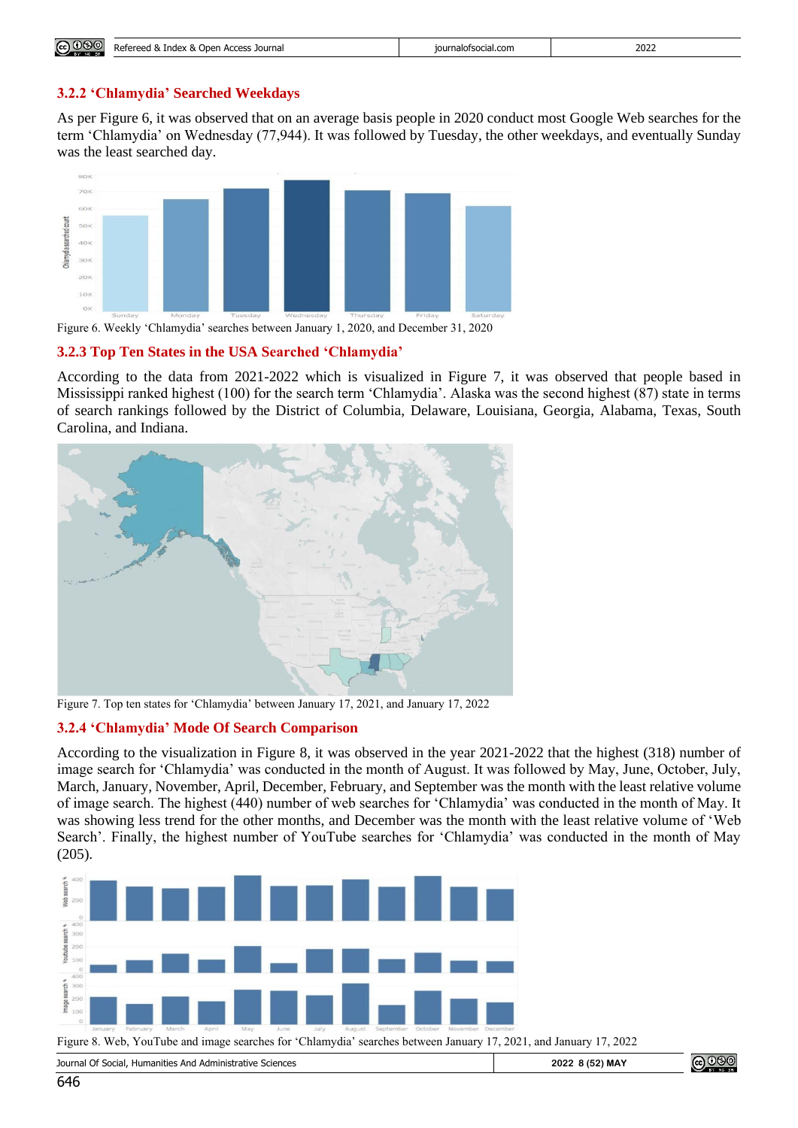| 2022<br><sup>o</sup><br>0<br>Refereed<br>Access<br>journalofsocial.com<br>. Journal<br>Index<br>Open<br>י שכו כי<br>$\mathbf{A}$<br>تص<br>.<br>. |              |  |  |
|--------------------------------------------------------------------------------------------------------------------------------------------------|--------------|--|--|
|                                                                                                                                                  | <b>@</b> 000 |  |  |

#### **3.2.2 'Chlamydia' Searched Weekdays**

As per Figure 6, it was observed that on an average basis people in 2020 conduct most Google Web searches for the term 'Chlamydia' on Wednesday (77,944). It was followed by Tuesday, the other weekdays, and eventually Sunday was the least searched day.



Figure 6. Weekly 'Chlamydia' searches between January 1, 2020, and December 31, 2020

#### **3.2.3 Top Ten States in the USA Searched 'Chlamydia'**

According to the data from 2021-2022 which is visualized in Figure 7, it was observed that people based in Mississippi ranked highest (100) for the search term 'Chlamydia'. Alaska was the second highest (87) state in terms of search rankings followed by the District of Columbia, Delaware, Louisiana, Georgia, Alabama, Texas, South Carolina, and Indiana.



Figure 7. Top ten states for 'Chlamydia' between January 17, 2021, and January 17, 2022

# **3.2.4 'Chlamydia' Mode Of Search Comparison**

According to the visualization in Figure 8, it was observed in the year 2021-2022 that the highest (318) number of image search for 'Chlamydia' was conducted in the month of August. It was followed by May, June, October, July, March, January, November, April, December, February, and September was the month with the least relative volume of image search. The highest (440) number of web searches for 'Chlamydia' was conducted in the month of May. It was showing less trend for the other months, and December was the month with the least relative volume of 'Web Search'. Finally, the highest number of YouTube searches for 'Chlamydia' was conducted in the month of May (205).



<u>@ 000</u> Journal Of Social, Humanities And Administrative Sciences **2022 8 (52) MAY**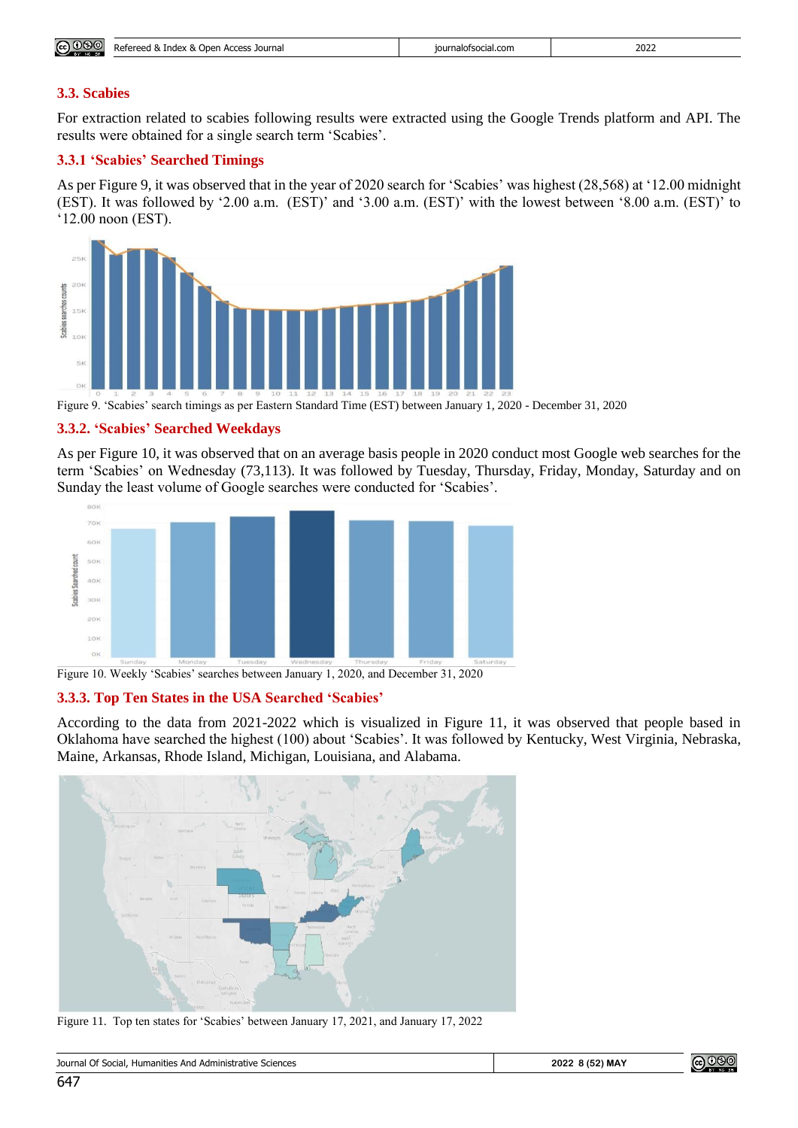| $\sim$<br>෬௦ෳ<br>∽ | $\Omega$<br>Access Journal<br>Pafaraad '<br>Open<br>reed & Index<br>חכוכ | iournalofsocial.com | 2022 |
|--------------------|--------------------------------------------------------------------------|---------------------|------|
|--------------------|--------------------------------------------------------------------------|---------------------|------|

#### **3.3. Scabies**

For extraction related to scabies following results were extracted using the Google Trends platform and API. The results were obtained for a single search term 'Scabies'.

#### **3.3.1 'Scabies' Searched Timings**

As per Figure 9, it was observed that in the year of 2020 search for 'Scabies' was highest (28,568) at '12.00 midnight (EST). It was followed by '2.00 a.m. (EST)' and '3.00 a.m. (EST)' with the lowest between '8.00 a.m. (EST)' to '12.00 noon (EST).



Figure 9. 'Scabies' search timings as per Eastern Standard Time (EST) between January 1, 2020 - December 31, 2020

#### **3.3.2. 'Scabies' Searched Weekdays**

As per Figure 10, it was observed that on an average basis people in 2020 conduct most Google web searches for the term 'Scabies' on Wednesday (73,113). It was followed by Tuesday, Thursday, Friday, Monday, Saturday and on Sunday the least volume of Google searches were conducted for 'Scabies'.



Figure 10. Weekly 'Scabies' searches between January 1, 2020, and December 31, 2020

#### **3.3.3. Top Ten States in the USA Searched 'Scabies'**

According to the data from 2021-2022 which is visualized in Figure 11, it was observed that people based in Oklahoma have searched the highest (100) about 'Scabies'. It was followed by Kentucky, West Virginia, Nebraska, Maine, Arkansas, Rhode Island, Michigan, Louisiana, and Alabama.



Figure 11. Top ten states for 'Scabies' between January 17, 2021, and January 17, 2022

| $\mathcal{L}$<br>Sciences<br>Journal<br>a Administrative S<br>Social.<br>And<br>Humanities<br>ິ<br>- 200 | <b>2) MAY</b><br>2023<br>76<br>، 10 0 | ງເວງ<br>(c <sub>c</sub> ) |
|----------------------------------------------------------------------------------------------------------|---------------------------------------|---------------------------|
|----------------------------------------------------------------------------------------------------------|---------------------------------------|---------------------------|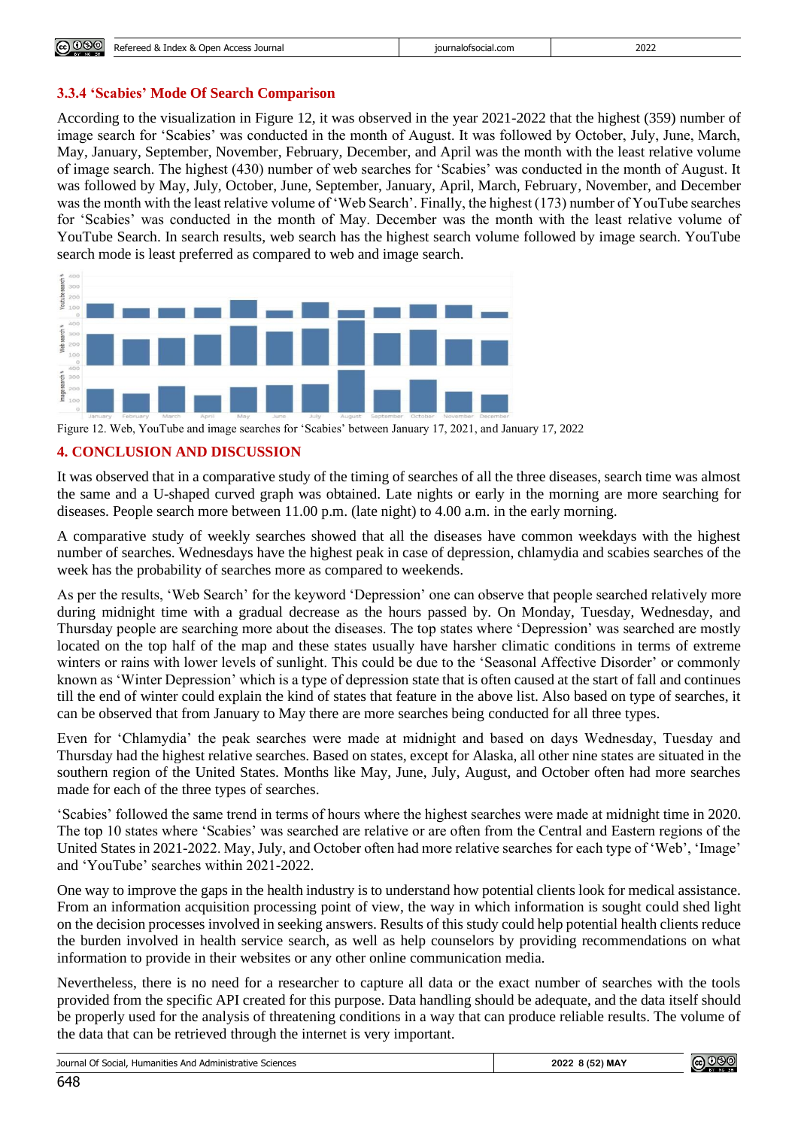#### **3.3.4 'Scabies' Mode Of Search Comparison**

According to the visualization in Figure 12, it was observed in the year 2021-2022 that the highest (359) number of image search for 'Scabies' was conducted in the month of August. It was followed by October, July, June, March, May, January, September, November, February, December, and April was the month with the least relative volume of image search. The highest (430) number of web searches for 'Scabies' was conducted in the month of August. It was followed by May, July, October, June, September, January, April, March, February, November, and December was the month with the least relative volume of 'Web Search'. Finally, the highest (173) number of YouTube searches for 'Scabies' was conducted in the month of May. December was the month with the least relative volume of YouTube Search. In search results, web search has the highest search volume followed by image search. YouTube search mode is least preferred as compared to web and image search.



Figure 12. Web, YouTube and image searches for 'Scabies' between January 17, 2021, and January 17, 2022

#### **4. CONCLUSION AND DISCUSSION**

It was observed that in a comparative study of the timing of searches of all the three diseases, search time was almost the same and a U-shaped curved graph was obtained. Late nights or early in the morning are more searching for diseases. People search more between 11.00 p.m. (late night) to 4.00 a.m. in the early morning.

A comparative study of weekly searches showed that all the diseases have common weekdays with the highest number of searches. Wednesdays have the highest peak in case of depression, chlamydia and scabies searches of the week has the probability of searches more as compared to weekends.

As per the results, 'Web Search' for the keyword 'Depression' one can observe that people searched relatively more during midnight time with a gradual decrease as the hours passed by. On Monday, Tuesday, Wednesday, and Thursday people are searching more about the diseases. The top states where 'Depression' was searched are mostly located on the top half of the map and these states usually have harsher climatic conditions in terms of extreme winters or rains with lower levels of sunlight. This could be due to the 'Seasonal Affective Disorder' or commonly known as 'Winter Depression' which is a type of depression state that is often caused at the start of fall and continues till the end of winter could explain the kind of states that feature in the above list. Also based on type of searches, it can be observed that from January to May there are more searches being conducted for all three types.

Even for 'Chlamydia' the peak searches were made at midnight and based on days Wednesday, Tuesday and Thursday had the highest relative searches. Based on states, except for Alaska, all other nine states are situated in the southern region of the United States. Months like May, June, July, August, and October often had more searches made for each of the three types of searches.

'Scabies' followed the same trend in terms of hours where the highest searches were made at midnight time in 2020. The top 10 states where 'Scabies' was searched are relative or are often from the Central and Eastern regions of the United States in 2021-2022. May, July, and October often had more relative searches for each type of 'Web', 'Image' and 'YouTube' searches within 2021-2022.

One way to improve the gaps in the health industry is to understand how potential clients look for medical assistance. From an information acquisition processing point of view, the way in which information is sought could shed light on the decision processes involved in seeking answers. Results of this study could help potential health clients reduce the burden involved in health service search, as well as help counselors by providing recommendations on what information to provide in their websites or any other online communication media.

Nevertheless, there is no need for a researcher to capture all data or the exact number of searches with the tools provided from the specific API created for this purpose. Data handling should be adequate, and the data itself should be properly used for the analysis of threatening conditions in a way that can produce reliable results. The volume of the data that can be retrieved through the internet is very important.

| Journal Of Social,<br>. Humanities And Administrative Sciences | .8(52) MAY<br>2022 | $\left( $<br>പ്രഭാത |
|----------------------------------------------------------------|--------------------|---------------------|
|----------------------------------------------------------------|--------------------|---------------------|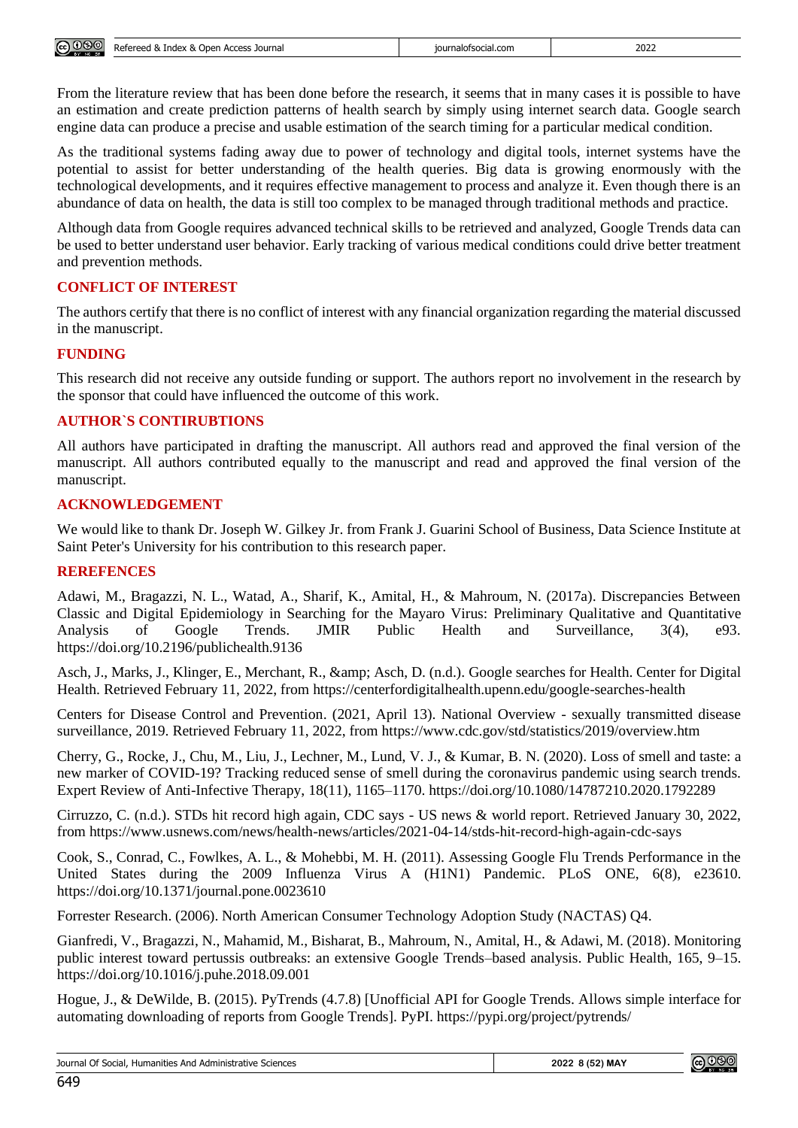| ெ®<br>EY NO SR | Refereed & Index & C<br>i Open Access Journal | journalofsocial.com | 2022 |
|----------------|-----------------------------------------------|---------------------|------|
|                |                                               |                     |      |

From the literature review that has been done before the research, it seems that in many cases it is possible to have an estimation and create prediction patterns of health search by simply using internet search data. Google search engine data can produce a precise and usable estimation of the search timing for a particular medical condition.

As the traditional systems fading away due to power of technology and digital tools, internet systems have the potential to assist for better understanding of the health queries. Big data is growing enormously with the technological developments, and it requires effective management to process and analyze it. Even though there is an abundance of data on health, the data is still too complex to be managed through traditional methods and practice.

Although data from Google requires advanced technical skills to be retrieved and analyzed, Google Trends data can be used to better understand user behavior. Early tracking of various medical conditions could drive better treatment and prevention methods.

# **CONFLICT OF INTEREST**

The authors certify that there is no conflict of interest with any financial organization regarding the material discussed in the manuscript.

# **FUNDING**

This research did not receive any outside funding or support. The authors report no involvement in the research by the sponsor that could have influenced the outcome of this work.

# **AUTHOR`S CONTIRUBTIONS**

All authors have participated in drafting the manuscript. All authors read and approved the final version of the manuscript. All authors contributed equally to the manuscript and read and approved the final version of the manuscript.

# **ACKNOWLEDGEMENT**

We would like to thank Dr. Joseph W. Gilkey Jr. from Frank J. Guarini School of Business, Data Science Institute at Saint Peter's University for his contribution to this research paper.

# **REREFENCES**

Adawi, M., Bragazzi, N. L., Watad, A., Sharif, K., Amital, H., & Mahroum, N. (2017a). Discrepancies Between Classic and Digital Epidemiology in Searching for the Mayaro Virus: Preliminary Qualitative and Quantitative Analysis of Google Trends. JMIR Public Health and Surveillance, 3(4), e93. https://doi.org/10.2196/publichealth.9136

Asch, J., Marks, J., Klinger, E., Merchant, R., & amp; Asch, D. (n.d.). Google searches for Health. Center for Digital Health. Retrieved February 11, 2022, from<https://centerfordigitalhealth.upenn.edu/google-searches-health>

Centers for Disease Control and Prevention. (2021, April 13). National Overview - sexually transmitted disease surveillance, 2019. Retrieved February 11, 2022, from<https://www.cdc.gov/std/statistics/2019/overview.htm>

Cherry, G., Rocke, J., Chu, M., Liu, J., Lechner, M., Lund, V. J., & Kumar, B. N. (2020). Loss of smell and taste: a new marker of COVID-19? Tracking reduced sense of smell during the coronavirus pandemic using search trends. Expert Review of Anti-Infective Therapy, 18(11), 1165–1170. https://doi.org/10.1080/14787210.2020.1792289

Cirruzzo, C. (n.d.). STDs hit record high again, CDC says - US news & world report. Retrieved January 30, 2022, from https://www.usnews.com/news/health-news/articles/2021-04-14/stds-hit-record-high-again-cdc-says

Cook, S., Conrad, C., Fowlkes, A. L., & Mohebbi, M. H. (2011). Assessing Google Flu Trends Performance in the United States during the 2009 Influenza Virus A (H1N1) Pandemic. PLoS ONE, 6(8), e23610. https://doi.org/10.1371/journal.pone.0023610

Forrester Research. (2006). North American Consumer Technology Adoption Study (NACTAS) Q4.

Gianfredi, V., Bragazzi, N., Mahamid, M., Bisharat, B., Mahroum, N., Amital, H., & Adawi, M. (2018). Monitoring public interest toward pertussis outbreaks: an extensive Google Trends–based analysis. Public Health, 165, 9–15. https://doi.org/10.1016/j.puhe.2018.09.001

Hogue, J., & DeWilde, B. (2015). PyTrends (4.7.8) [Unofficial API for Google Trends. Allows simple interface for automating downloading of reports from Google Trends]. PyPI. https://pypi.org/project/pytrends/